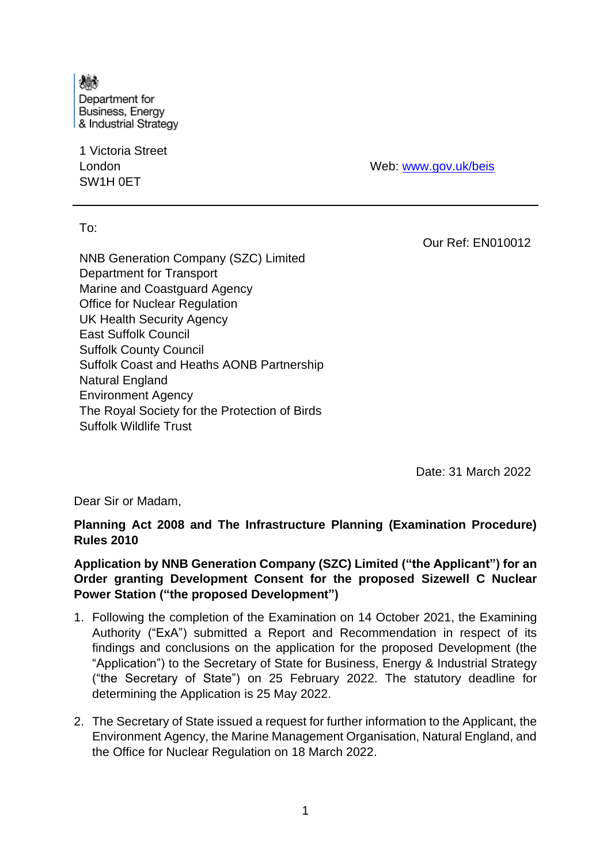燔 Department for **Business, Energy** & Industrial Strategy

1 Victoria Street London SW1H 0ET

Web: [www.gov.uk/beis](http://www.gov.uk/beis)

To:

Our Ref: EN010012

NNB Generation Company (SZC) Limited Department for Transport Marine and Coastguard Agency Office for Nuclear Regulation UK Health Security Agency East Suffolk Council Suffolk County Council Suffolk Coast and Heaths AONB Partnership Natural England Environment Agency The Royal Society for the Protection of Birds Suffolk Wildlife Trust

Date: 31 March 2022

Dear Sir or Madam,

### **Planning Act 2008 and The Infrastructure Planning (Examination Procedure) Rules 2010**

## **Application by NNB Generation Company (SZC) Limited ("the Applicant") for an Order granting Development Consent for the proposed Sizewell C Nuclear Power Station ("the proposed Development")**

- 1. Following the completion of the Examination on 14 October 2021, the Examining Authority ("ExA") submitted a Report and Recommendation in respect of its findings and conclusions on the application for the proposed Development (the "Application") to the Secretary of State for Business, Energy & Industrial Strategy ("the Secretary of State") on 25 February 2022. The statutory deadline for determining the Application is 25 May 2022.
- 2. The Secretary of State issued a request for further information to the Applicant, the Environment Agency, the Marine Management Organisation, Natural England, and the Office for Nuclear Regulation on 18 March 2022.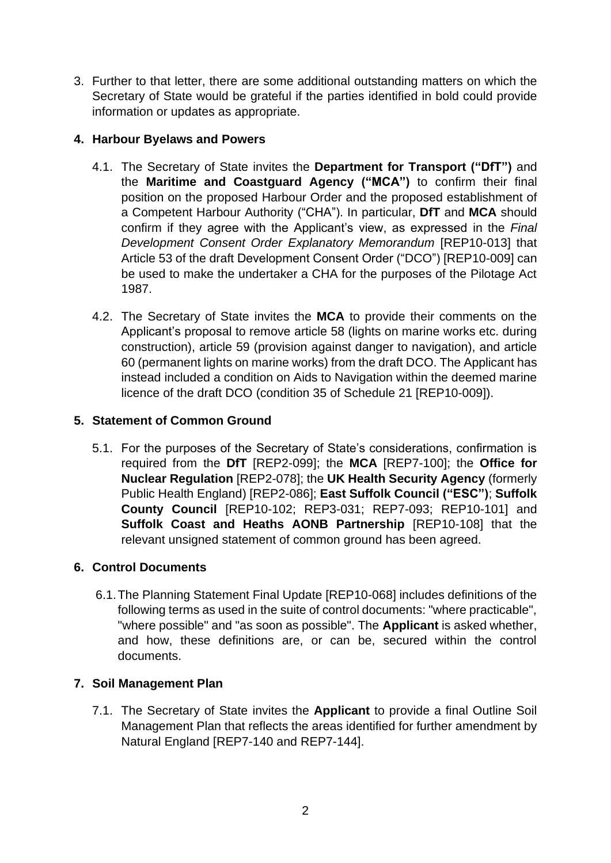3. Further to that letter, there are some additional outstanding matters on which the Secretary of State would be grateful if the parties identified in bold could provide information or updates as appropriate.

# **4. Harbour Byelaws and Powers**

- 4.1. The Secretary of State invites the **Department for Transport ("DfT")** and the **Maritime and Coastguard Agency ("MCA")** to confirm their final position on the proposed Harbour Order and the proposed establishment of a Competent Harbour Authority ("CHA"). In particular, **DfT** and **MCA** should confirm if they agree with the Applicant's view, as expressed in the *Final Development Consent Order Explanatory Memorandum* [REP10-013] that Article 53 of the draft Development Consent Order ("DCO") [REP10-009] can be used to make the undertaker a CHA for the purposes of the Pilotage Act 1987.
- 4.2. The Secretary of State invites the **MCA** to provide their comments on the Applicant's proposal to remove article 58 (lights on marine works etc. during construction), article 59 (provision against danger to navigation), and article 60 (permanent lights on marine works) from the draft DCO. The Applicant has instead included a condition on Aids to Navigation within the deemed marine licence of the draft DCO (condition 35 of Schedule 21 [REP10-009]).

# **5. Statement of Common Ground**

5.1. For the purposes of the Secretary of State's considerations, confirmation is required from the **DfT** [REP2-099]; the **MCA** [REP7-100]; the **Office for Nuclear Regulation** [REP2-078]; the **UK Health Security Agency** (formerly Public Health England) [REP2-086]; **East Suffolk Council ("ESC")**; **Suffolk County Council** [REP10-102; REP3-031; REP7-093; REP10-101] and **Suffolk Coast and Heaths AONB Partnership** [REP10-108] that the relevant unsigned statement of common ground has been agreed.

## **6. Control Documents**

6.1.The Planning Statement Final Update [REP10-068] includes definitions of the following terms as used in the suite of control documents: "where practicable", "where possible" and "as soon as possible". The **Applicant** is asked whether, and how, these definitions are, or can be, secured within the control documents.

## **7. Soil Management Plan**

7.1. The Secretary of State invites the **Applicant** to provide a final Outline Soil Management Plan that reflects the areas identified for further amendment by Natural England [REP7-140 and REP7-144].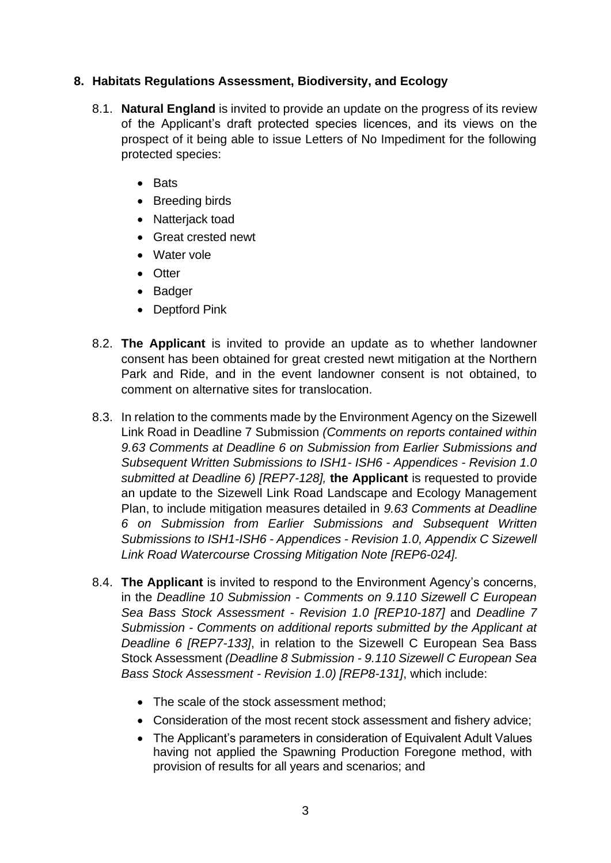## **8. Habitats Regulations Assessment, Biodiversity, and Ecology**

- 8.1. **Natural England** is invited to provide an update on the progress of its review of the Applicant's draft protected species licences, and its views on the prospect of it being able to issue Letters of No Impediment for the following protected species:
	- Bats
	- Breeding birds
	- Natterjack toad
	- Great crested newt
	- Water vole
	- Otter
	- Badger
	- Deptford Pink
- 8.2. **The Applicant** is invited to provide an update as to whether landowner consent has been obtained for great crested newt mitigation at the Northern Park and Ride, and in the event landowner consent is not obtained, to comment on alternative sites for translocation.
- 8.3. In relation to the comments made by the Environment Agency on the Sizewell Link Road in Deadline 7 Submission *(Comments on reports contained within 9.63 Comments at Deadline 6 on Submission from Earlier Submissions and Subsequent Written Submissions to ISH1- ISH6 - Appendices - Revision 1.0 submitted at Deadline 6) [REP7-128],* **the Applicant** is requested to provide an update to the Sizewell Link Road Landscape and Ecology Management Plan, to include mitigation measures detailed in *9.63 Comments at Deadline 6 on Submission from Earlier Submissions and Subsequent Written Submissions to ISH1-ISH6 - Appendices - Revision 1.0, Appendix C Sizewell Link Road Watercourse Crossing Mitigation Note [REP6-024].*
- 8.4. **The Applicant** is invited to respond to the Environment Agency's concerns, in the *Deadline 10 Submission - Comments on 9.110 Sizewell C European Sea Bass Stock Assessment - Revision 1.0 [REP10-187]* and *Deadline 7 Submission - Comments on additional reports submitted by the Applicant at Deadline 6 [REP7-133]*, in relation to the Sizewell C European Sea Bass Stock Assessment *(Deadline 8 Submission - 9.110 Sizewell C European Sea Bass Stock Assessment - Revision 1.0) [REP8-131]*, which include:
	- The scale of the stock assessment method;
	- Consideration of the most recent stock assessment and fishery advice;
	- The Applicant's parameters in consideration of Equivalent Adult Values having not applied the Spawning Production Foregone method, with provision of results for all years and scenarios; and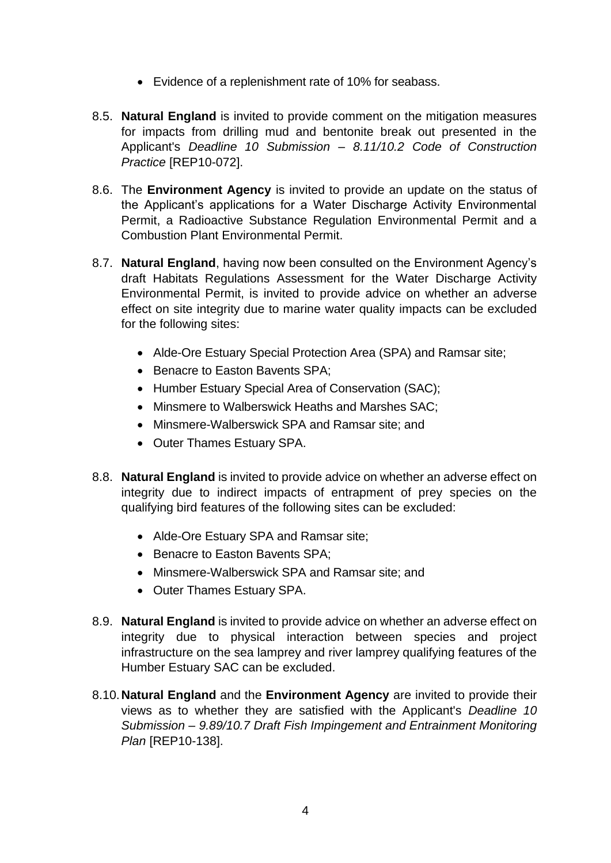- Evidence of a replenishment rate of 10% for seabass.
- 8.5. **Natural England** is invited to provide comment on the mitigation measures for impacts from drilling mud and bentonite break out presented in the Applicant's *Deadline 10 Submission – 8.11/10.2 Code of Construction Practice* [REP10-072].
- 8.6. The **Environment Agency** is invited to provide an update on the status of the Applicant's applications for a Water Discharge Activity Environmental Permit, a Radioactive Substance Regulation Environmental Permit and a Combustion Plant Environmental Permit.
- 8.7. **Natural England**, having now been consulted on the Environment Agency's draft Habitats Regulations Assessment for the Water Discharge Activity Environmental Permit, is invited to provide advice on whether an adverse effect on site integrity due to marine water quality impacts can be excluded for the following sites:
	- Alde-Ore Estuary Special Protection Area (SPA) and Ramsar site;
	- Benacre to Easton Bavents SPA;
	- Humber Estuary Special Area of Conservation (SAC);
	- Minsmere to Walberswick Heaths and Marshes SAC;
	- Minsmere-Walberswick SPA and Ramsar site; and
	- Outer Thames Estuary SPA.
- 8.8. **Natural England** is invited to provide advice on whether an adverse effect on integrity due to indirect impacts of entrapment of prey species on the qualifying bird features of the following sites can be excluded:
	- Alde-Ore Estuary SPA and Ramsar site;
	- Benacre to Easton Bavents SPA:
	- Minsmere-Walberswick SPA and Ramsar site; and
	- Outer Thames Estuary SPA.
- 8.9. **Natural England** is invited to provide advice on whether an adverse effect on integrity due to physical interaction between species and project infrastructure on the sea lamprey and river lamprey qualifying features of the Humber Estuary SAC can be excluded.
- 8.10.**Natural England** and the **Environment Agency** are invited to provide their views as to whether they are satisfied with the Applicant's *Deadline 10 Submission – 9.89/10.7 Draft Fish Impingement and Entrainment Monitoring Plan* [REP10-138].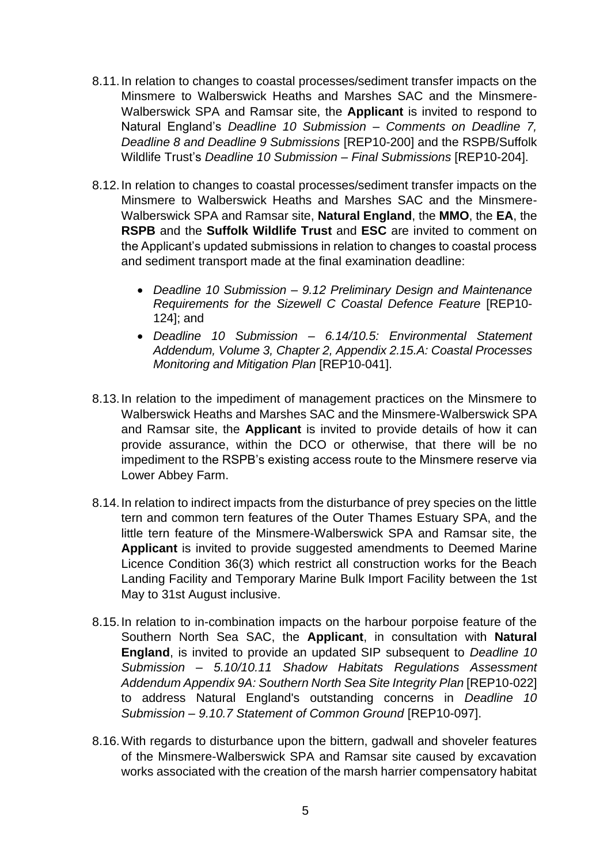- 8.11.In relation to changes to coastal processes/sediment transfer impacts on the Minsmere to Walberswick Heaths and Marshes SAC and the Minsmere-Walberswick SPA and Ramsar site, the **Applicant** is invited to respond to Natural England's *Deadline 10 Submission – Comments on Deadline 7, Deadline 8 and Deadline 9 Submissions* [REP10-200] and the RSPB/Suffolk Wildlife Trust's *Deadline 10 Submission – Final Submissions* [REP10-204].
- 8.12.In relation to changes to coastal processes/sediment transfer impacts on the Minsmere to Walberswick Heaths and Marshes SAC and the Minsmere-Walberswick SPA and Ramsar site, **Natural England**, the **MMO**, the **EA**, the **RSPB** and the **Suffolk Wildlife Trust** and **ESC** are invited to comment on the Applicant's updated submissions in relation to changes to coastal process and sediment transport made at the final examination deadline:
	- *Deadline 10 Submission – 9.12 Preliminary Design and Maintenance Requirements for the Sizewell C Coastal Defence Feature* [REP10- 124]; and
	- *Deadline 10 Submission – 6.14/10.5: Environmental Statement Addendum, Volume 3, Chapter 2, Appendix 2.15.A: Coastal Processes Monitoring and Mitigation Plan* [REP10-041].
- 8.13.In relation to the impediment of management practices on the Minsmere to Walberswick Heaths and Marshes SAC and the Minsmere-Walberswick SPA and Ramsar site, the **Applicant** is invited to provide details of how it can provide assurance, within the DCO or otherwise, that there will be no impediment to the RSPB's existing access route to the Minsmere reserve via Lower Abbey Farm.
- 8.14.In relation to indirect impacts from the disturbance of prey species on the little tern and common tern features of the Outer Thames Estuary SPA, and the little tern feature of the Minsmere-Walberswick SPA and Ramsar site, the **Applicant** is invited to provide suggested amendments to Deemed Marine Licence Condition 36(3) which restrict all construction works for the Beach Landing Facility and Temporary Marine Bulk Import Facility between the 1st May to 31st August inclusive.
- 8.15.In relation to in-combination impacts on the harbour porpoise feature of the Southern North Sea SAC, the **Applicant**, in consultation with **Natural England**, is invited to provide an updated SIP subsequent to *Deadline 10 Submission – 5.10/10.11 Shadow Habitats Regulations Assessment Addendum Appendix 9A: Southern North Sea Site Integrity Plan* [REP10-022] to address Natural England's outstanding concerns in *Deadline 10 Submission – 9.10.7 Statement of Common Ground* [REP10-097].
- 8.16.With regards to disturbance upon the bittern, gadwall and shoveler features of the Minsmere-Walberswick SPA and Ramsar site caused by excavation works associated with the creation of the marsh harrier compensatory habitat